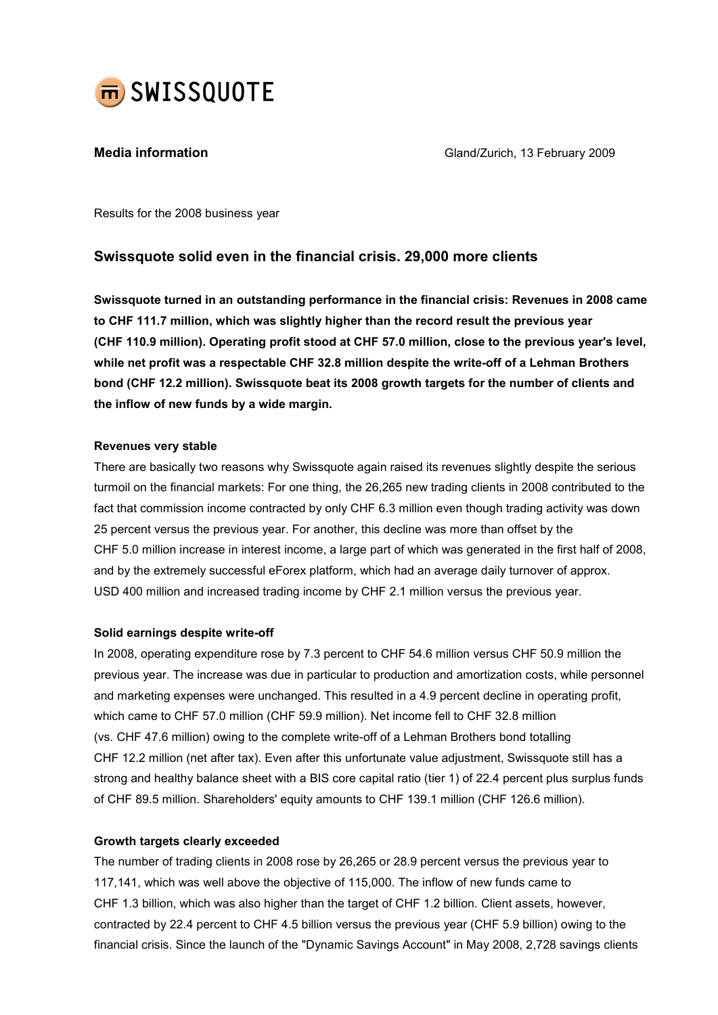

**Media information** Mateur Changes and Gland/Zurich, 13 February 2009

Results for the 2008 business year

## Swissquote solid even in the financial crisis. 29,000 more clients

Swissquote turned in an outstanding performance in the financial crisis: Revenues in 2008 came to CHF 111.7 million, which was slightly higher than the record result the previous year (CHF 110.9 million). Operating profit stood at CHF 57.0 million, close to the previous year's level, while net profit was a respectable CHF 32.8 million despite the write-off of a Lehman Brothers bond (CHF 12.2 million). Swissquote beat its 2008 growth targets for the number of clients and the inflow of new funds by a wide margin.

### Revenues very stable

There are basically two reasons why Swissquote again raised its revenues slightly despite the serious turmoil on the financial markets: For one thing, the 26,265 new trading clients in 2008 contributed to the fact that commission income contracted by only CHF 6.3 million even though trading activity was down 25 percent versus the previous year. For another, this decline was more than offset by the CHF 5.0 million increase in interest income, a large part of which was generated in the first half of 2008, and by the extremely successful eForex platform, which had an average daily turnover of approx. USD 400 million and increased trading income by CHF 2.1 million versus the previous year.

#### Solid earnings despite write-off

In 2008, operating expenditure rose by 7.3 percent to CHF 54.6 million versus CHF 50.9 million the previous year. The increase was due in particular to production and amortization costs, while personnel and marketing expenses were unchanged. This resulted in a 4.9 percent decline in operating profit, which came to CHF 57.0 million (CHF 59.9 million). Net income fell to CHF 32.8 million (vs. CHF 47.6 million) owing to the complete write-off of a Lehman Brothers bond totalling CHF 12.2 million (net after tax). Even after this unfortunate value adjustment, Swissquote still has a strong and healthy balance sheet with a BIS core capital ratio (tier 1) of 22.4 percent plus surplus funds of CHF 89.5 million. Shareholders' equity amounts to CHF 139.1 million (CHF 126.6 million).

## Growth targets clearly exceeded

The number of trading clients in 2008 rose by 26,265 or 28.9 percent versus the previous year to 117,141, which was well above the objective of 115,000. The inflow of new funds came to CHF 1.3 billion, which was also higher than the target of CHF 1.2 billion. Client assets, however, contracted by 22.4 percent to CHF 4.5 billion versus the previous year (CHF 5.9 billion) owing to the financial crisis. Since the launch of the "Dynamic Savings Account" in May 2008, 2,728 savings clients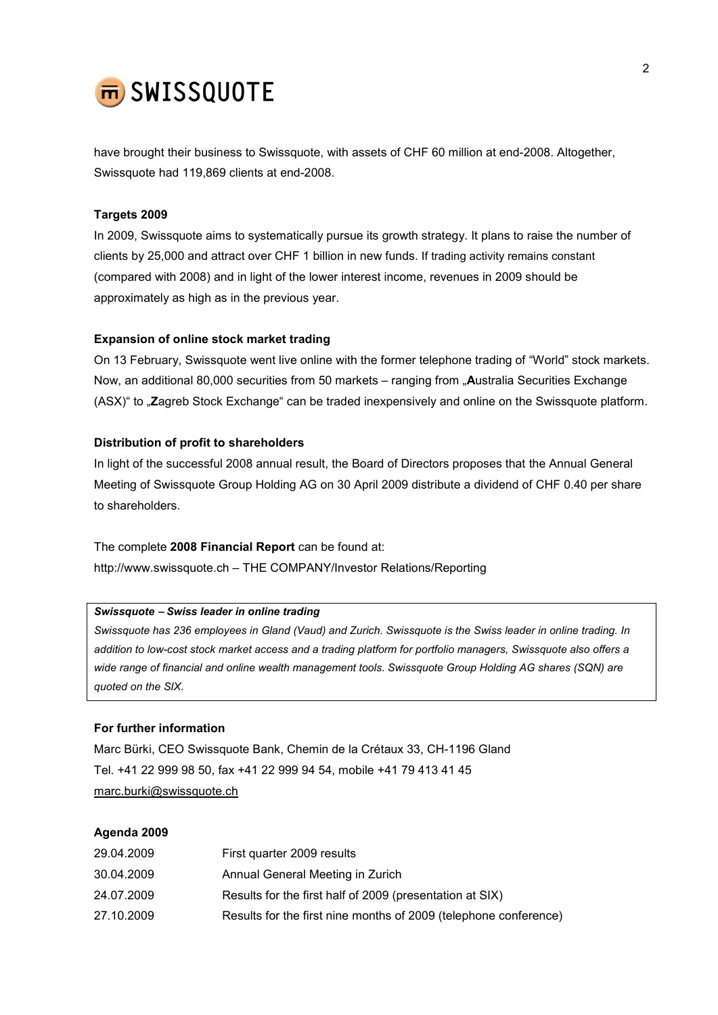

have brought their business to Swissquote, with assets of CHF 60 million at end-2008. Altogether, Swissquote had 119,869 clients at end-2008.

#### Targets 2009

In 2009, Swissquote aims to systematically pursue its growth strategy. It plans to raise the number of clients by 25,000 and attract over CHF 1 billion in new funds. If trading activity remains constant (compared with 2008) and in light of the lower interest income, revenues in 2009 should be approximately as high as in the previous year.

#### Expansion of online stock market trading

On 13 February, Swissquote went live online with the former telephone trading of "World" stock markets. Now, an additional 80,000 securities from 50 markets – ranging from "Australia Securities Exchange (ASX)" to "Zagreb Stock Exchange" can be traded inexpensively and online on the Swissquote platform.

#### Distribution of profit to shareholders

In light of the successful 2008 annual result, the Board of Directors proposes that the Annual General Meeting of Swissquote Group Holding AG on 30 April 2009 distribute a dividend of CHF 0.40 per share to shareholders.

The complete 2008 Financial Report can be found at: http://www.swissquote.ch – THE COMPANY/Investor Relations/Reporting

### Swissquote − Swiss leader in online trading

Swissquote has 236 employees in Gland (Vaud) and Zurich. Swissquote is the Swiss leader in online trading. In addition to low-cost stock market access and a trading platform for portfolio managers, Swissquote also offers a wide range of financial and online wealth management tools. Swissquote Group Holding AG shares (SQN) are quoted on the SIX.

#### For further information

Marc Bürki, CEO Swissquote Bank, Chemin de la Crétaux 33, CH-1196 Gland Tel. +41 22 999 98 50, fax +41 22 999 94 54, mobile +41 79 413 41 45 marc.burki@swissquote.ch

#### Agenda 2009

| 29.04.2009 | First quarter 2009 results                                       |
|------------|------------------------------------------------------------------|
| 30.04.2009 | Annual General Meeting in Zurich                                 |
| 24.07.2009 | Results for the first half of 2009 (presentation at SIX)         |
| 27.10.2009 | Results for the first nine months of 2009 (telephone conference) |